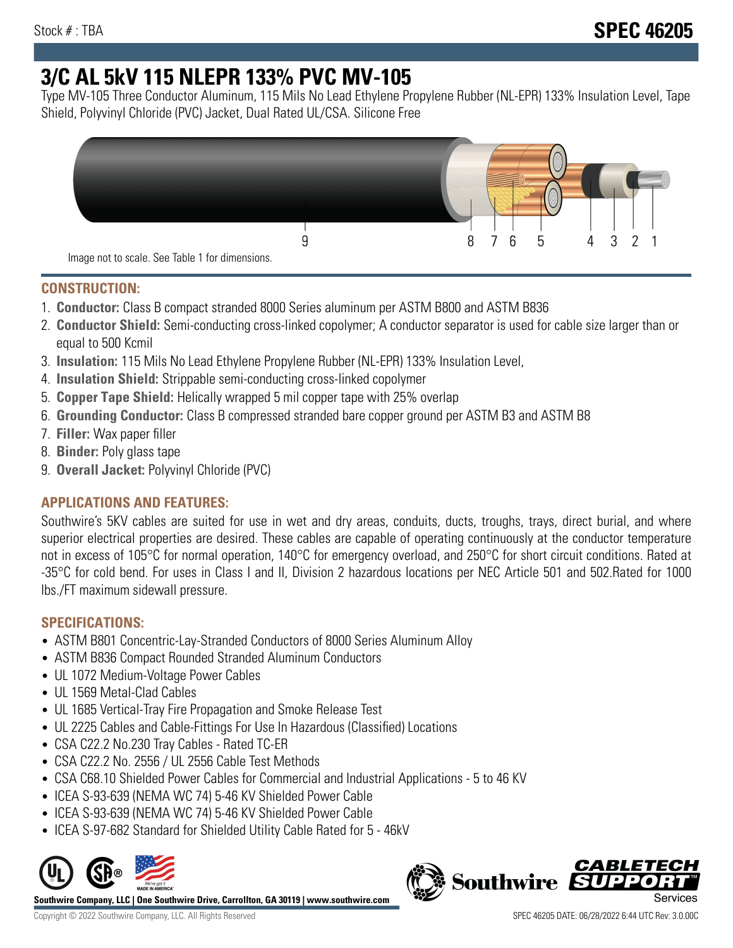# **3/C AL 5kV 115 NLEPR 133% PVC MV-105**

Type MV-105 Three Conductor Aluminum, 115 Mils No Lead Ethylene Propylene Rubber (NL-EPR) 133% Insulation Level, Tape Shield, Polyvinyl Chloride (PVC) Jacket, Dual Rated UL/CSA. Silicone Free



## **CONSTRUCTION:**

- 1. **Conductor:** Class B compact stranded 8000 Series aluminum per ASTM B800 and ASTM B836
- 2. **Conductor Shield:** Semi-conducting cross-linked copolymer; A conductor separator is used for cable size larger than or equal to 500 Kcmil
- 3. **Insulation:** 115 Mils No Lead Ethylene Propylene Rubber (NL-EPR) 133% Insulation Level,
- 4. **Insulation Shield:** Strippable semi-conducting cross-linked copolymer
- 5. **Copper Tape Shield:** Helically wrapped 5 mil copper tape with 25% overlap
- 6. **Grounding Conductor:** Class B compressed stranded bare copper ground per ASTM B3 and ASTM B8
- 7. **Filler:** Wax paper filler
- 8. **Binder:** Poly glass tape
- 9. **Overall Jacket:** Polyvinyl Chloride (PVC)

# **APPLICATIONS AND FEATURES:**

Southwire's 5KV cables are suited for use in wet and dry areas, conduits, ducts, troughs, trays, direct burial, and where superior electrical properties are desired. These cables are capable of operating continuously at the conductor temperature not in excess of 105°C for normal operation, 140°C for emergency overload, and 250°C for short circuit conditions. Rated at -35°C for cold bend. For uses in Class I and II, Division 2 hazardous locations per NEC Article 501 and 502.Rated for 1000 lbs./FT maximum sidewall pressure.

# **SPECIFICATIONS:**

- ASTM B801 Concentric-Lay-Stranded Conductors of 8000 Series Aluminum Alloy
- ASTM B836 Compact Rounded Stranded Aluminum Conductors
- UL 1072 Medium-Voltage Power Cables
- UL 1569 Metal-Clad Cables
- UL 1685 Vertical-Tray Fire Propagation and Smoke Release Test
- UL 2225 Cables and Cable-Fittings For Use In Hazardous (Classified) Locations
- CSA C22.2 No.230 Tray Cables Rated TC-ER
- CSA C22.2 No. 2556 / UL 2556 Cable Test Methods
- CSA C68.10 Shielded Power Cables for Commercial and Industrial Applications 5 to 46 KV
- ICEA S-93-639 (NEMA WC 74) 5-46 KV Shielded Power Cable
- ICEA S-93-639 (NEMA WC 74) 5-46 KV Shielded Power Cable
- ICEA S-97-682 Standard for Shielded Utility Cable Rated for 5 46kV



**Southwire Company, LLC | One Southwire Drive, Carrollton, GA 30119 | www.southwire.com**